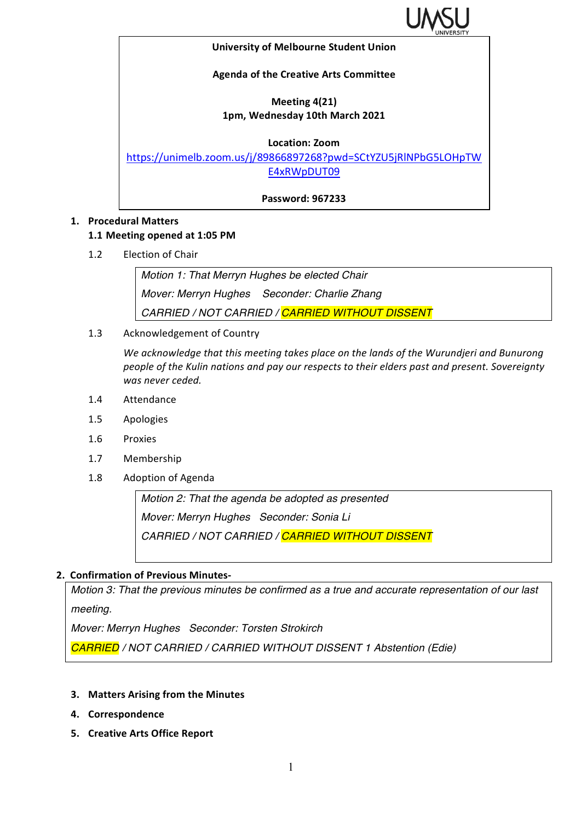

#### **University of Melbourne Student Union**

## **Agenda of the Creative Arts Committee**

# **Meeting 4(21) 1pm, Wednesday 10th March 2021**

### **Location: Zoom**

https://unimelb.zoom.us/j/89866897268?pwd=SCtYZU5jRlNPbG5LOHpTW E4xRWpDUT09

**Password: 967233**

## **1. Procedural Matters**

#### **1.1 Meeting opened at 1:05 PM**

1.2 Election of Chair

*Motion 1: That Merryn Hughes be elected Chair Mover: Merryn Hughes Seconder: Charlie Zhang CARRIED / NOT CARRIED / CARRIED WITHOUT DISSENT*

1.3 Acknowledgement of Country

We acknowledge that this meeting takes place on the lands of the Wurundjeri and Bunurong *people of the Kulin nations and pay our respects to their elders past and present. Sovereignty was never ceded.* 

- 1.4 Attendance
- 1.5 Apologies
- 1.6 Proxies
- 1.7 Membership
- 1.8 Adoption of Agenda

*Motion 2: That the agenda be adopted as presented Mover: Merryn Hughes Seconder: Sonia Li CARRIED / NOT CARRIED / CARRIED WITHOUT DISSENT*

## **2. Confirmation of Previous Minutes-**

*Motion 3: That the previous minutes be confirmed as a true and accurate representation of our last meeting.*

*Mover: Merryn Hughes Seconder: Torsten Strokirch*

*CARRIED / NOT CARRIED / CARRIED WITHOUT DISSENT 1 Abstention (Edie)*

- **3. Matters Arising from the Minutes**
- **4. Correspondence**
- **5. Creative Arts Office Report**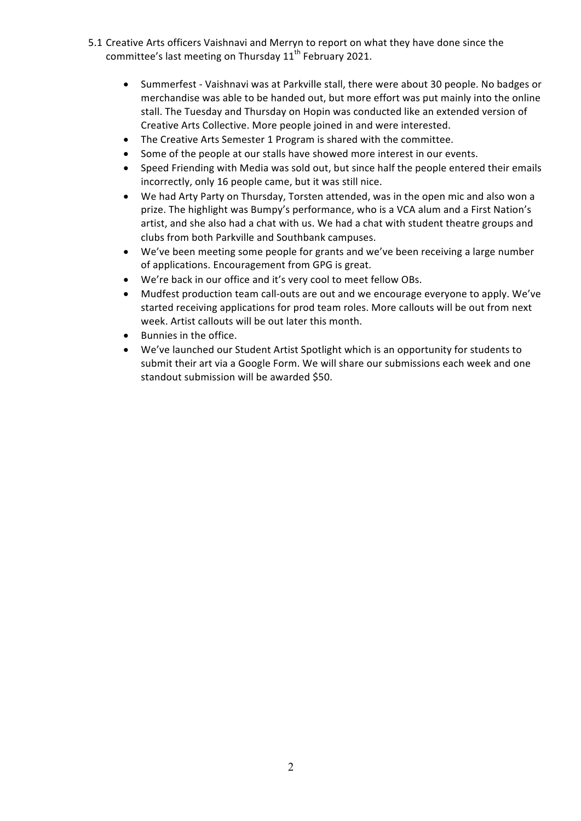- 5.1 Creative Arts officers Vaishnavi and Merryn to report on what they have done since the committee's last meeting on Thursday 11<sup>th</sup> February 2021.
	- Summerfest Vaishnavi was at Parkville stall, there were about 30 people. No badges or merchandise was able to be handed out, but more effort was put mainly into the online stall. The Tuesday and Thursday on Hopin was conducted like an extended version of Creative Arts Collective. More people joined in and were interested.
	- The Creative Arts Semester 1 Program is shared with the committee.
	- Some of the people at our stalls have showed more interest in our events.
	- Speed Friending with Media was sold out, but since half the people entered their emails incorrectly, only 16 people came, but it was still nice.
	- We had Arty Party on Thursday, Torsten attended, was in the open mic and also won a prize. The highlight was Bumpy's performance, who is a VCA alum and a First Nation's artist, and she also had a chat with us. We had a chat with student theatre groups and clubs from both Parkville and Southbank campuses.
	- We've been meeting some people for grants and we've been receiving a large number of applications. Encouragement from GPG is great.
	- We're back in our office and it's very cool to meet fellow OBs.
	- Mudfest production team call-outs are out and we encourage everyone to apply. We've started receiving applications for prod team roles. More callouts will be out from next week. Artist callouts will be out later this month.
	- Bunnies in the office.
	- We've launched our Student Artist Spotlight which is an opportunity for students to submit their art via a Google Form. We will share our submissions each week and one standout submission will be awarded \$50.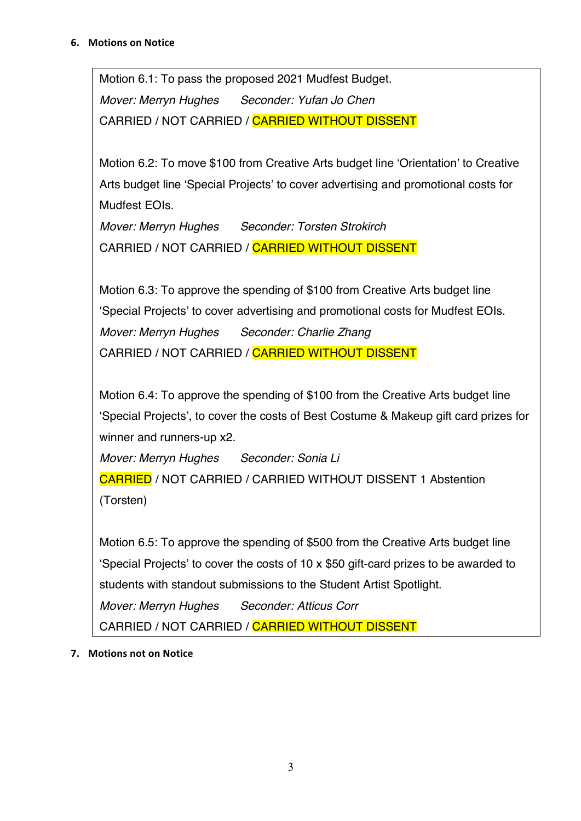Motion 6.1: To pass the proposed 2021 Mudfest Budget. *Mover: Merryn Hughes Seconder: Yufan Jo Chen* CARRIED / NOT CARRIED / CARRIED WITHOUT DISSENT

Motion 6.2: To move \$100 from Creative Arts budget line 'Orientation' to Creative Arts budget line 'Special Projects' to cover advertising and promotional costs for Mudfest EOIs.

*Mover: Merryn Hughes Seconder: Torsten Strokirch* CARRIED / NOT CARRIED / CARRIED WITHOUT DISSENT

Motion 6.3: To approve the spending of \$100 from Creative Arts budget line 'Special Projects' to cover advertising and promotional costs for Mudfest EOIs. *Mover: Merryn Hughes Seconder: Charlie Zhang* CARRIED / NOT CARRIED / CARRIED WITHOUT DISSENT

Motion 6.4: To approve the spending of \$100 from the Creative Arts budget line 'Special Projects', to cover the costs of Best Costume & Makeup gift card prizes for winner and runners-up x2.

*Mover: Merryn Hughes Seconder: Sonia Li*

CARRIED / NOT CARRIED / CARRIED WITHOUT DISSENT 1 Abstention (Torsten)

Motion 6.5: To approve the spending of \$500 from the Creative Arts budget line 'Special Projects' to cover the costs of 10 x \$50 gift-card prizes to be awarded to students with standout submissions to the Student Artist Spotlight.

*Mover: Merryn Hughes Seconder: Atticus Corr*

CARRIED / NOT CARRIED / CARRIED WITHOUT DISSENT

**7.** Motions not on Notice